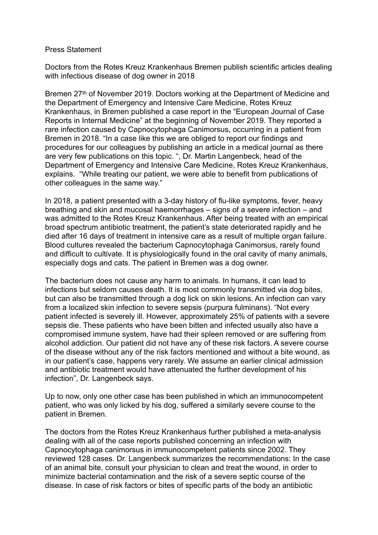## Press Statement

Doctors from the Rotes Kreuz Krankenhaus Bremen publish scientific articles dealing with infectious disease of dog owner in 2018

Bremen 27<sup>th</sup> of November 2019. Doctors working at the Department of Medicine and the Department of Emergency and Intensive Care Medicine, Rotes Kreuz Krankenhaus, in Bremen published a case report in the "European Journal of Case Reports in Internal Medicine" at the beginning of November 2019. They reported a rare infection caused by Capnocytophaga Canimorsus, occurring in a patient from Bremen in 2018. "In a case like this we are obliged to report our findings and procedures for our colleagues by publishing an article in a medical journal as there are very few publications on this topic. ", Dr. Martin Langenbeck, head of the Department of Emergency and Intensive Care Medicine, Rotes Kreuz Krankenhaus, explains. "While treating our patient, we were able to benefit from publications of other colleagues in the same way."

In 2018, a patient presented with a 3-day history of flu-like symptoms, fever, heavy breathing and skin and mucosal haemorrhages – signs of a severe infection – and was admitted to the Rotes Kreuz Krankenhaus. After being treated with an empirical broad spectrum antibiotic treatment, the patient's state deteriorated rapidly and he died after 16 days of treatment in intensive care as a result of multiple organ failure. Blood cultures revealed the bacterium Capnocytophaga Canimorsus, rarely found and difficult to cultivate. It is physiologically found in the oral cavity of many animals, especially dogs and cats. The patient in Bremen was a dog owner.

The bacterium does not cause any harm to animals. In humans, it can lead to infections but seldom causes death. It is most commonly transmitted via dog bites, but can also be transmitted through a dog lick on skin lesions. An infection can vary from a localized skin infection to severe sepsis (purpura fulminans). "Not every patient infected is severely ill. However, approximately 25% of patients with a severe sepsis die. These patients who have been bitten and infected usually also have a compromised immune system, have had their spleen removed or are suffering from alcohol addiction. Our patient did not have any of these risk factors. A severe course of the disease without any of the risk factors mentioned and without a bite wound, as in our patient's case, happens very rarely. We assume an earlier clinical admission and antibiotic treatment would have attenuated the further development of his infection", Dr. Langenbeck says.

Up to now, only one other case has been published in which an immunocompetent patient, who was only licked by his dog, suffered a similarly severe course to the patient in Bremen.

The doctors from the Rotes Kreuz Krankenhaus further published a meta-analysis dealing with all of the case reports published concerning an infection with Capnocytophaga canimorsus in immunocompetent patients since 2002. They reviewed 128 cases. Dr. Langenbeck summarizes the recommendations: In the case of an animal bite, consult your physician to clean and treat the wound, in order to minimize bacterial contamination and the risk of a severe septic course of the disease. In case of risk factors or bites of specific parts of the body an antibiotic